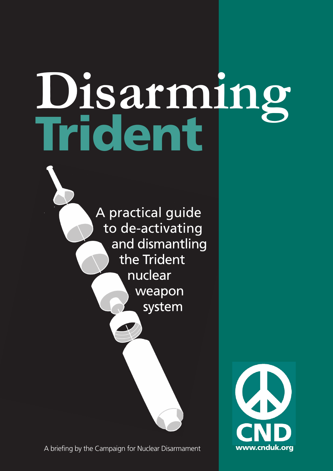# **Trident Disarming**

A practical guide to de-activating and dismantling the Trident nuclear weapon system

A briefing by the Campaign for Nuclear Disarmament

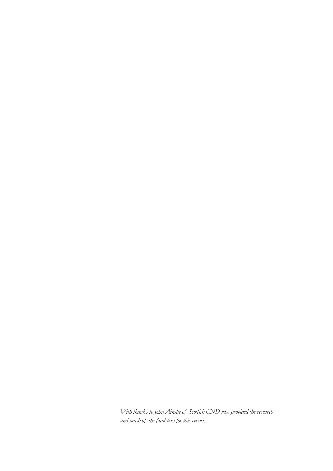*With thanks to John Ainslie of Scottish CND who provided the research and much of the final text for this report.*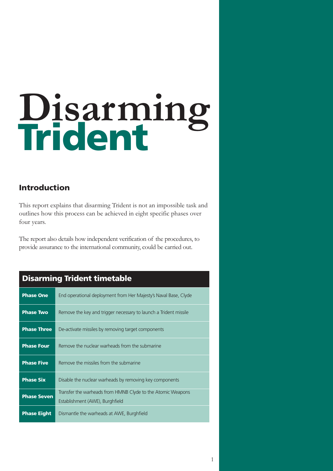# **Trident Disarming**

### **Introduction**

This report explains that disarming Trident is not an impossible task and outlines how this process can be achieved in eight specific phases over four years.

The report also details how independent verification of the procedures, to provide assurance to the international community, could be carried out.

# **Disarming Trident timetable**

| <b>Phase One</b>   | End operational deployment from Her Majesty's Naval Base, Clyde  |
|--------------------|------------------------------------------------------------------|
| <b>Phase Two</b>   | Remove the key and trigger necessary to launch a Trident missile |
| <b>Phase Three</b> | De-activate missiles by removing target components               |
| <b>Phase Four</b>  | Remove the nuclear warheads from the submarine                   |
| <b>Phase Five</b>  | Remove the missiles from the submarine                           |
| <b>Phase Six</b>   | Disable the nuclear warheads by removing key components          |
| <b>Phase Seven</b> | Transfer the warheads from HMNB Clyde to the Atomic Weapons      |
|                    | Establishment (AWE), Burghfield                                  |
| <b>Phase Eight</b> | Dismantle the warheads at AWE, Burghfield                        |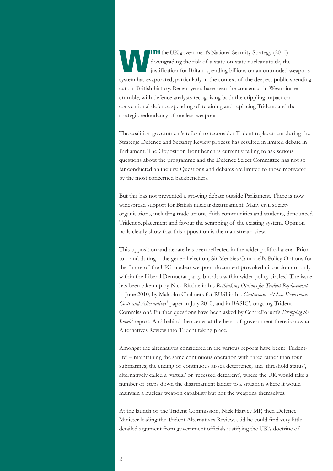**WITH** the UK government's National Security Strategy (2010)<br>downgrading the risk of a state-on-state nuclear attack, the<br>justification for Britain spending billions on an outmoded<br>avatant has a conserved particularly in t downgrading the risk of a state-on-state nuclear attack, the justification for Britain spending billions on an outmoded weapons system has evaporated, particularly in the context of the deepest public spending cuts in British history. Recent years have seen the consensus in Westminster crumble, with defence analysts recognising both the crippling impact on conventional defence spending of retaining and replacing Trident, and the strategic redundancy of nuclear weapons.

The coalition government's refusal to reconsider Trident replacement during the Strategic Defence and Security Review process has resulted in limited debate in Parliament. The Opposition front bench is currently failing to ask serious questions about the programme and the Defence Select Committee has not so far conducted an inquiry. Questions and debates are limited to those motivated by the most concerned backbenchers.

But this has not prevented a growing debate outside Parliament. There is now widespread support for British nuclear disarmament. Many civil society organisations, including trade unions, faith communities and students, denounced Trident replacement and favour the scrapping of the existing system. Opinion polls clearly show that this opposition is the mainstream view.

This opposition and debate has been reflected in the wider political arena. Prior to – and during – the general election, Sir Menzies Campbell's Policy Options for the future of the UK's nuclear weapons document provoked discussion not only within the Liberal Democrat party, but also within wider policy circles. <sup>1</sup> The issue has been taken up by Nick Ritchie in his *Rethinking Options for Trident Replacement* 2 in June 2010, by Malcolm Chalmers for RUSI in his *Continuous At-Sea Deterrence: Costs and Alternatives* <sup>3</sup> paper in July 2010, and in BASIC's ongoing Trident Commission<sup>4</sup>. Further questions have been asked by CentreForum's *Dropping the Bomb*<sup>5</sup> report. And behind the scenes at the heart of government there is now an Alternatives Review into Trident taking place.

Amongst the alternatives considered in the various reports have been: 'Tridentlite' – maintaining the same continuous operation with three rather than four submarines; the ending of continuous at-sea deterrence; and 'threshold status', alternatively called a 'virtual' or 'recessed deterrent', where the UK would take a number of steps down the disarmament ladder to a situation where it would maintain a nuclear weapon capability but not the weapons themselves.

At the launch of the Trident Commission, Nick Harvey MP, then Defence Minister leading the Trident Alternatives Review, said he could find very little detailed argument from government officials justifying the UK's doctrine of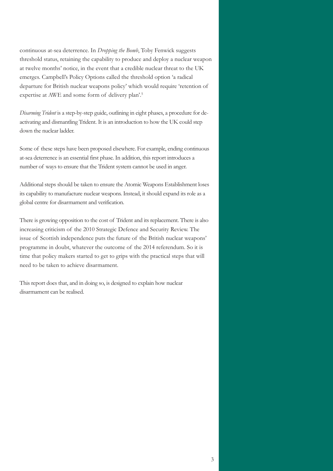continuous at-sea deterrence. In *Dropping the Bomb*, Toby Fenwick suggests threshold status, retaining the capability to produce and deploy a nuclear weapon at twelve months' notice, in the event that a credible nuclear threat to the UK emerges. Campbell's Policy Options called the threshold option 'a radical departure for British nuclear weapons policy' which would require 'retention of expertise at AWE and some form of delivery plan'. 5

*Disarming Trident* is a step-by-step guide, outlining in eight phases, a procedure for deactivating and dismantling Trident. It is an introduction to how the UK could step down the nuclear ladder.

Some of these steps have been proposed elsewhere. For example, ending continuous at-sea deterrence is an essential first phase. In addition, this report introduces a number of ways to ensure that the Trident system cannot be used in anger.

Additional steps should be taken to ensure the Atomic Weapons Establishment loses its capability to manufacture nuclear weapons. Instead, it should expand its role as a global centre for disarmament and verification.

There is growing opposition to the cost of Trident and its replacement. There is also increasing criticism of the 2010 Strategic Defence and Security Review. The issue of Scottish independence puts the future of the British nuclear weapons' programme in doubt, whatever the outcome of the 2014 referendum. So it is time that policy makers started to get to grips with the practical steps that will need to be taken to achieve disarmament.

This report does that, and in doing so, is designed to explain how nuclear disarmament can be realised.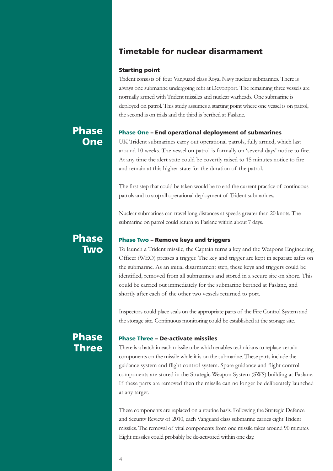#### **Timetable for nuclear disarmament**

#### **Starting point**

Trident consists of four Vanguard class Royal Navy nuclear submarines. There is always one submarine undergoing refit at Devonport. The remaining three vessels are normally armed with Trident missiles and nuclear warheads. One submarine is deployed on patrol. This study assumes a starting point where one vessel is on patrol, the second is on trials and the third is berthed at Faslane.

## **Phase One**

#### **Phase One – End operational deployment of submarines**

UK Trident submarines carry out operational patrols, fully armed, which last around 10 weeks. The vessel on patrol is formally on 'several days' notice to fire. At any time the alert state could be covertly raised to 15 minutes notice to fire and remain at this higher state for the duration of the patrol.

The first step that could be taken would be to end the current practice of continuous patrols and to stop all operational deployment of Trident submarines.

Nuclear submarines can travel long distances at speeds greater than 20 knots. The submarine on patrol could return to Faslane within about 7 days.

#### **Phase Two – Remove keys and triggers**

To launch a Trident missile, the Captain turns a key and the Weapons Engineering Officer (WEO) presses a trigger. The key and trigger are kept in separate safes on the submarine. As an initial disarmament step, these keys and triggers could be identified, removed from all submarines and stored in a secure site on shore. This could be carried out immediately for the submarine berthed at Faslane, and shortly after each of the other two vessels returned to port.

Inspectors could place seals on the appropriate parts of the Fire Control System and the storage site. Continuous monitoring could be established at the storage site.

#### **Phase Three – De-activate missiles**

There is a hatch in each missile tube which enables technicians to replace certain components on the missile while it is on the submarine. These parts include the guidance system and flight control system. Spare guidance and flight control components are stored in the Strategic Weapon System (SWS) building at Faslane. If these parts are removed then the missile can no longer be deliberately launched at any target.

These components are replaced on a routine basis. Following the Strategic Defence and Security Review of 2010, each Vanguard class submarine carries eight Trident missiles. The removal of vital components from one missile takes around 90 minutes. Eight missiles could probably be de-activated within one day.

# **Phase Two**

# **Phase Three**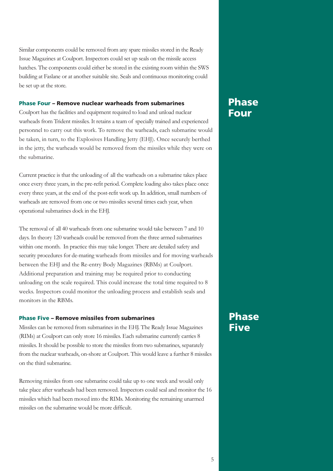Similar components could be removed from any spare missiles stored in the Ready Issue Magazines at Coulport. Inspectors could set up seals on the missile access hatches. The components could either be stored in the existing room within the SWS building at Faslane or at another suitable site. Seals and continuous monitoring could be set up at the store.

#### **Phase Four – Remove nuclear warheads from submarines**

Coulport has the facilities and equipment required to load and unload nuclear warheads from Trident missiles. It retains a team of specially trained and experienced personnel to carry out this work. To remove the warheads, each submarine would be taken, in turn, to the Explosives Handling Jetty (EHJ). Once securely berthed in the jetty, the warheads would be removed from the missiles while they were on the submarine.

Current practice is that the unloading of all the warheads on a submarine takes place once every three years, in the pre-refit period. Complete loading also takes place once every three years, at the end of the post-refit work up. In addition, small numbers of warheads are removed from one or two missiles several times each year, when operational submarines dock in the EHJ.

The removal of all 40 warheads from one submarine would take between 7 and 10 days. In theory 120 warheads could be removed from the three armed submarines within one month. In practice this may take longer. There are detailed safety and security procedures for de-mating warheads from missiles and for moving warheads between the EHJ and the Re-entry Body Magazines (RBMs) at Coulport. Additional preparation and training may be required prior to conducting unloading on the scale required. This could increase the total time required to 8 weeks. Inspectors could monitor the unloading process and establish seals and monitors in the RBMs.

#### **Phase Five – Remove missiles from submarines**

Missiles can be removed from submarines in the EHJ. The Ready Issue Magazines (RIMs) at Coulport can only store 16 missiles. Each submarine currently carries 8 missiles. It should be possible to store the missiles from two submarines, separately from the nuclear warheads, on-shore at Coulport. This would leave a further 8 missiles on the third submarine.

Removing missiles from one submarine could take up to one week and would only take place after warheads had been removed. Inspectors could seal and monitor the 16 missiles which had been moved into the RIMs. Monitoring the remaining unarmed missiles on the submarine would be more difficult.

# **Phase Four**

# **Phase Five**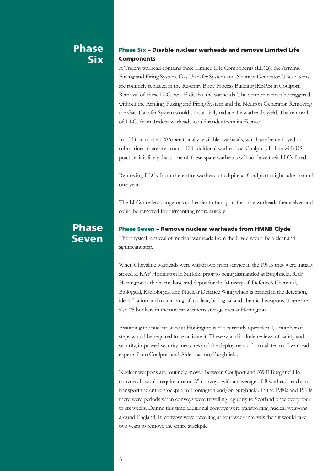# **Phase Six**

#### **Phase Six – Disable nuclear warheads and remove Limited Life Components**

A Trident warhead contains three Limited Life Components (LLCs): the Arming, Fuzing and Firing System, Gas Transfer System and Neutron Generator. These items are routinely replaced in the Re-entry Body Process Building (RBPB) at Coulport. Removal of these LLCs would disable the warheads. The weapon cannot be triggered without the Arming, Fuzing and Firing System and the Neutron Generator. Removing the Gas Transfer System would substantially reduce the warhead's yield. The removal of LLCs from Trident warheads would render them ineffective.

In addition to the 120 'operationally-available' warheads, which are be deployed on submarines, there are around 100 additional warheads at Coulport. In line with US practice, it is likely that some of these spare warheads will not have their LLCs fitted.

Removing LLCs from the entire warhead stockpile at Coulport might take around one year.

The LLCs are less dangerous and easier to transport than the warheads themselves and could be removed for dismantling more quickly.

# **Phase Seven**

#### **Phase Seven – Remove nuclear warheads from HMNB Clyde**

The physical removal of nuclear warheads from the Clyde would be a clear and significant step.

When Chevaline warheads were withdrawn from service in the 1990s they were initially stored at RAF Honington in Suffolk, prior to being dismantled at Burghfield. RAF Honington is the home base and depot for the Ministry of Defence's Chemical, Biological, Radiological and Nuclear Defence Wing which is trained in the detection, identification and monitoring of nuclear, biological and chemical weapons. There are also 25 bunkers in the nuclear weapons storage area at Honington.

Assuming the nuclear store at Honington is not currently operational, a number of steps would be required to re-activate it. These would include reviews of safety and security, improved security measures and the deployment of a small team of warhead experts from Coulport and Aldermaston/Burghfield.

Nuclear weapons are routinely moved between Coulport and AWE Burghfield in convoys. It would require around 25 convoys, with an average of 8 warheads each, to transport the entire stockpile to Honington and/or Burghfield. In the 1980s and 1990s there were periods when convoys were travelling regularly to Scotland once every four to six weeks. During this time additional convoys were transporting nuclear weapons around England. If convoys were travelling at four week intervals then it would take two years to remove the entire stockpile.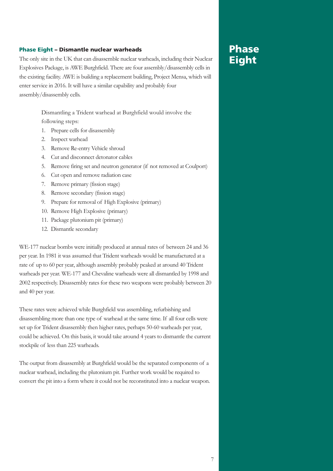#### **Phase Eight – Dismantle nuclear warheads**

The only site in the UK that can disassemble nuclear warheads, including their Nuclear Explosives Package, is AWE Burghfield. There are four assembly/disassembly cells in the existing facility. AWE is building a replacement building, Project Mensa, which will enter service in 2016. It will have a similar capability and probably four assembly/disassembly cells.

> Dismantling a Trident warhead at Burghfield would involve the following steps:

- 1. Prepare cells for disassembly
- 2. Inspect warhead
- 3. Remove Re-entry Vehicle shroud
- 4. Cut and disconnect detonator cables
- 5. Remove firing set and neutron generator (if not removed at Coulport)
- 6. Cut open and remove radiation case
- 7. Remove primary (fission stage)
- 8. Remove secondary (fission stage)
- 9. Prepare for removal of High Explosive (primary)
- 10. Remove High Explosive (primary)
- 11. Package plutonium pit (primary)
- 12. Dismantle secondary

WE-177 nuclear bombs were initially produced at annual rates of between 24 and 36 per year. In 1981 it was assumed that Trident warheads would be manufactured at a rate of up to 60 per year, although assembly probably peaked at around 40 Trident warheads per year. WE-177 and Chevaline warheads were all dismantled by 1998 and 2002 respectively. Disassembly rates for these two weapons were probably between 20 and 40 per year.

These rates were achieved while Burghfield was assembling, refurbishing and disassembling more than one type of warhead at the same time. If all four cells were set up for Trident disassembly then higher rates, perhaps 50-60 warheads per year, could be achieved. On this basis, it would take around 4 years to dismantle the current stockpile of less than 225 warheads.

The output from disassembly at Burghfield would be the separated components of a nuclear warhead, including the plutonium pit. Further work would be required to convert the pit into a form where it could not be reconstituted into a nuclear weapon.

# **Phase Eight**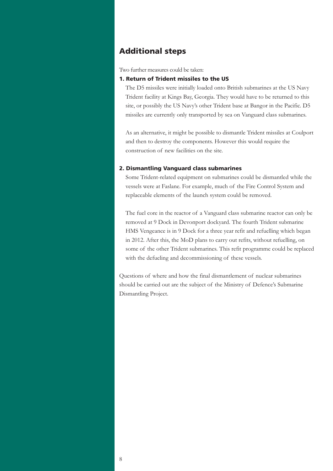#### **Additional steps**

Two further measures could be taken:

#### **1. Return of Trident missiles to the US**

The D5 missiles were initially loaded onto British submarines at the US Navy Trident facility at Kings Bay, Georgia. They would have to be returned to this site, or possibly the US Navy's other Trident base at Bangor in the Pacific. D5 missiles are currently only transported by sea on Vanguard class submarines.

As an alternative, it might be possible to dismantle Trident missiles at Coulport and then to destroy the components. However this would require the construction of new facilities on the site.

#### **2. Dismantling Vanguard class submarines**

Some Trident-related equipment on submarines could be dismantled while the vessels were at Faslane. For example, much of the Fire Control System and replaceable elements of the launch system could be removed.

The fuel core in the reactor of a Vanguard class submarine reactor can only be removed at 9 Dock in Devonport dockyard. The fourth Trident submarine HMS Vengeance is in 9 Dock for a three year refit and refuelling which began in 2012. After this, the MoD plans to carry out refits, without refuelling, on some of the other Trident submarines. This refit programme could be replaced with the defueling and decommissioning of these vessels.

Questions of where and how the final dismantlement of nuclear submarines should be carried out are the subject of the Ministry of Defence's Submarine Dismantling Project.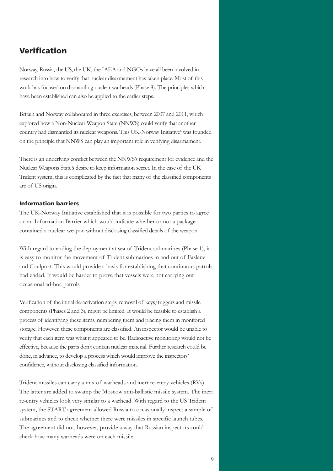#### **Verification**

Norway, Russia, the US, the UK, the IAEA and NGOs have all been involved in research into how to verify that nuclear disarmament has taken place. Most of this work has focused on dismantling nuclear warheads (Phase 8). The principles which have been established can also be applied to the earlier steps.

Britain and Norway collaborated in three exercises, between 2007 and 2011, which explored how a Non-Nuclear Weapon State (NNWS) could verify that another country had dismantled its nuclear weapons. This UK-Norway Initiative<sup>6</sup> was founded on the principle that NNWS can play an important role in verifying disarmament.

There is an underlying conflict between the NNWS's requirement for evidence and the Nuclear Weapons State's desire to keep information secret. In the case of the UK Trident system, this is complicated by the fact that many of the classified components are of US origin.

#### **Information barriers**

The UK-Norway Initiative established that it is possible for two parties to agree on an Information Barrier which would indicate whether or not a package contained a nuclear weapon without disclosing classified details of the weapon.

With regard to ending the deployment at sea of Trident submarines (Phase 1), it is easy to monitor the movement of Trident submarines in and out of Faslane and Coulport. This would provide a basis for establishing that continuous patrols had ended. It would be harder to prove that vessels were not carrying out occasional ad-hoc patrols.

Verification of the initial de-activation steps, removal of keys/triggers and missile components (Phases 2 and 3), might be limited. It would be feasible to establish a process of identifying these items, numbering them and placing them in monitored storage. However, these components are classified. An inspector would be unable to verify that each item was what it appeared to be. Radioactive monitoring would not be effective, because the parts don't contain nuclear material. Further research could be done, in advance, to develop a process which would improve the inspectors' confidence, without disclosing classified information.

Trident missiles can carry a mix of warheads and inert re-entry vehicles (RVs). The latter are added to swamp the Moscow anti-ballistic missile system. The inert re-entry vehicles look very similar to a warhead. With regard to the US Trident system, the START agreement allowed Russia to occasionally inspect a sample of submarines and to check whether there were missiles in specific launch tubes. The agreement did not, however, provide a way that Russian inspectors could check how many warheads were on each missile.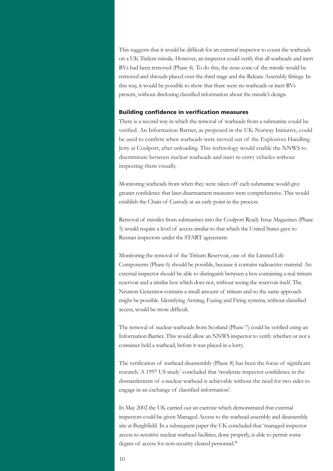This suggests that it would be difficult for an external inspector to count the warheads on a UK Trident missile. However, an inspector could verify that all warheads and inert RVs had been removed (Phase 4). To do this, the nose-cone of the missile would be removed and shrouds placed over the third stage and the Release Assembly fittings. In this way, it would be possible to show that there were no warheads or inert RVs present, without disclosing classified information about the missile's design.

#### **Building confidence in verification measures**

There is a second way in which the removal of warheads from a submarine could be verified. An Information Barrier, as proposed in the UK-Norway Initiative, could be used to confirm when warheads were moved out of the Explosives Handling Jetty at Coulport, after unloading. This technology would enable the NNWS to discriminate between nuclear warheads and inert re-entry vehicles without inspecting them visually.

Monitoring warheads from when they were taken off each submarine would give greater confidence that later disarmament measures were comprehensive. This would establish the Chain of Custody at an early point in the process.

Removal of missiles from submarines into the Coulport Ready Issue Magazines (Phase 5) would require a level of access similar to that which the United States gave to Russian inspectors under the START agreement.

Monitoring the removal of the Tritium Reservoir, one of the Limited Life Components (Phase 6) should be possible, because it contains radioactive material. An external inspector should be able to distinguish between a box containing a real tritium reservoir and a similar box which does not, without seeing the reservoir itself. The Neutron Generator contains a small amount of tritium and so the same approach might be possible. Identifying Arming, Fuzing and Firing systems, without classified access, would be more difficult.

The removal of nuclear warheads from Scotland (Phase 7) could be verified using an Information Barrier. This would allow an NNWS inspector to verify whether or not a container held a warhead, before it was placed in a lorry.

The verification of warhead disassembly (Phase 8) has been the focus of significant research. A 1997 US study<sup>7</sup> concluded that 'moderate inspector confidence in the dismantlement of a nuclear warhead is achievable without the need for two sides to engage in an exchange of classified information'.

In May 2002 the UK carried out an exercise which demonstrated that external inspectors could be given Managed Access to the warhead assembly and disassembly site at Burghfield. In a subsequent paper the UK concluded that 'managed inspector access to sensitive nuclear warhead facilities, done properly, is able to permit some degree of access for non-security cleared personnel.<sup>8</sup>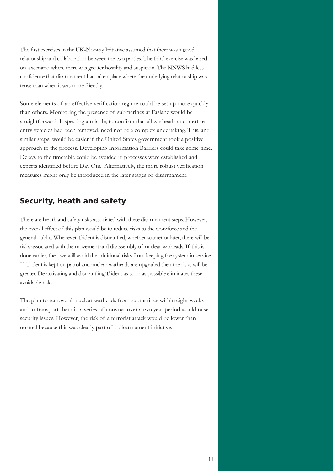The first exercises in the UK-Norway Initiative assumed that there was a good relationship and collaboration between the two parties. The third exercise was based on a scenario where there was greater hostility and suspicion. The NNWS had less confidence that disarmament had taken place where the underlying relationship was tense than when it was more friendly.

Some elements of an effective verification regime could be set up more quickly than others. Monitoring the presence of submarines at Faslane would be straightforward. Inspecting a missile, to confirm that all warheads and inert reentry vehicles had been removed, need not be a complex undertaking. This, and similar steps, would be easier if the United States government took a positive approach to the process. Developing Information Barriers could take some time. Delays to the timetable could be avoided if processes were established and experts identified before Day One. Alternatively, the more robust verification measures might only be introduced in the later stages of disarmament.

#### **Security, heath and safety**

There are health and safety risks associated with these disarmament steps. However, the overall effect of this plan would be to reduce risks to the workforce and the general public. Whenever Trident is dismantled, whether sooner or later, there will be risks associated with the movement and disassembly of nuclear warheads. If this is done earlier, then we will avoid the additional risks from keeping the system in service. If Trident is kept on patrol and nuclear warheads are upgraded then the risks will be greater. De-activating and dismantling Trident as soon as possible eliminates these avoidable risks.

The plan to remove all nuclear warheads from submarines within eight weeks and to transport them in a series of convoys over a two year period would raise security issues. However, the risk of a terrorist attack would be lower than normal because this was clearly part of a disarmament initiative.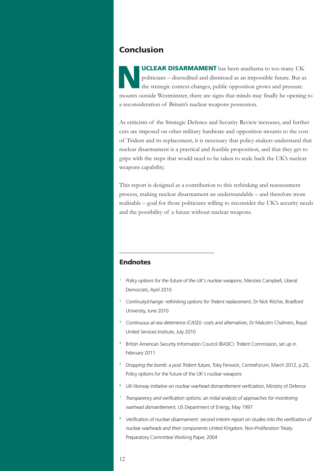#### **Conclusion**

**NUCLEAR DISARMAMENT** has been anathema to too many UK politicians – discredited and dismissed as an impossible future. But a<br>the strategic context changes, public opposition grows and pressure politicians – discredited and dismissed as an impossible future. But as the strategic context changes, public opposition grows and pressure mounts outside Westminster, there are signs that minds may finally be opening to a reconsideration of Britain's nuclear weapons possession.

As criticism of the Strategic Defence and Security Review increases, and further cuts are imposed on other military hardware and opposition mounts to the cost of Trident and its replacement, it is necessary that policy-makers understand that nuclear disarmament is a practical and feasible proposition, and that they get to grips with the steps that would need to be taken to scale back the UK's nuclear weapons capability.

This report is designed as a contribution to this rethinking and reassessment process, making nuclear disarmament an understandable – and therefore more realisable – goal for those politicians willing to reconsider the UK's security needs and the possibility of a future without nuclear weapons.

#### **Endnotes**

- <sup>1</sup> *Policy options for the future of the UK's nuclear weapons*, Menzies Campbell, Liberal Democrats, April 2010
- <sup>2</sup> *Continuity/change: rethinking options for Trident replacement*, Dr Nick Ritchie, Bradford University, June 2010
- <sup>3</sup> *Continuous at-sea deterrence (CASD): costs and alternatives*, Dr Malcolm Chalmers, Royal United Services Institute, July 2010
- <sup>4</sup> British American Security Information Council (BASIC): Trident Commission, set up in February 2011
- <sup>5</sup> *Dropping the bomb: a post Trident future*, Toby Fenwick, CentreForum, March 2012, p.20, Policy options for the future of the UK's nuclear weapons
- <sup>6</sup> *UK-Norway initiative on nuclear warhead dismantlement verficiation*, Ministry of Defence
- <sup>7</sup> *Transparency and verification options: an initial analysis of approaches for monitoring warhead dismantlement*, US Department of Energy, May 1997
- <sup>8</sup> *Verification of nuclear disarmament: second interim report on studies into the verification of nuclear warheads and their components United Kingdom*, Non-Proliferation Treaty Preparatory Committee Working Paper, 2004